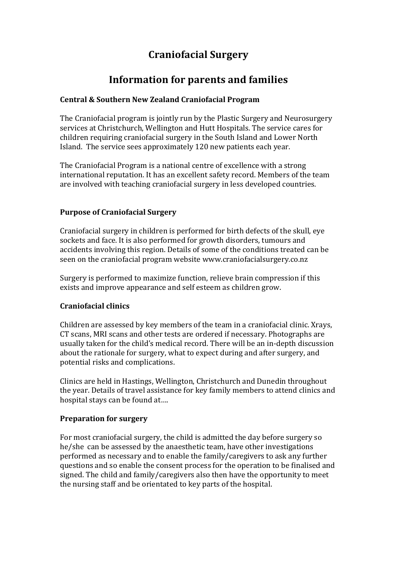# **Craniofacial\*Surgery**

# **Information for parents and families**

### **Central\*&\*Southern\*New\*Zealand\*Craniofacial\*Program**

The Craniofacial program is jointly run by the Plastic Surgery and Neurosurgery services at Christchurch, Wellington and Hutt Hospitals. The service cares for children requiring craniofacial surgery in the South Island and Lower North Island. The service sees approximately 120 new patients each year.

The Craniofacial Program is a national centre of excellence with a strong international reputation. It has an excellent safety record. Members of the team are involved with teaching craniofacial surgery in less developed countries.

### **Purpose of Craniofacial Surgery**

Craniofacial surgery in children is performed for birth defects of the skull, eye sockets and face. It is also performed for growth disorders, tumours and accidents involving this region. Details of some of the conditions treated can be seen on the craniofacial program website www.craniofacialsurgery.co.nz

Surgery is performed to maximize function, relieve brain compression if this exists and improve appearance and self esteem as children grow.

## **Craniofacial clinics**

Children are assessed by key members of the team in a craniofacial clinic. Xrays, CT scans, MRI scans and other tests are ordered if necessary. Photographs are usually taken for the child's medical record. There will be an in-depth discussion about the rationale for surgery, what to expect during and after surgery, and potential risks and complications.

Clinics are held in Hastings, Wellington, Christchurch and Dunedin throughout the year. Details of travel assistance for key family members to attend clinics and hospital stays can be found at....

#### **Preparation for surgery**

For most craniofacial surgery, the child is admitted the day before surgery so he/she can be assessed by the anaesthetic team, have other investigations performed as necessary and to enable the family/caregivers to ask any further questions and so enable the consent process for the operation to be finalised and signed. The child and family/caregivers also then have the opportunity to meet the nursing staff and be orientated to key parts of the hospital.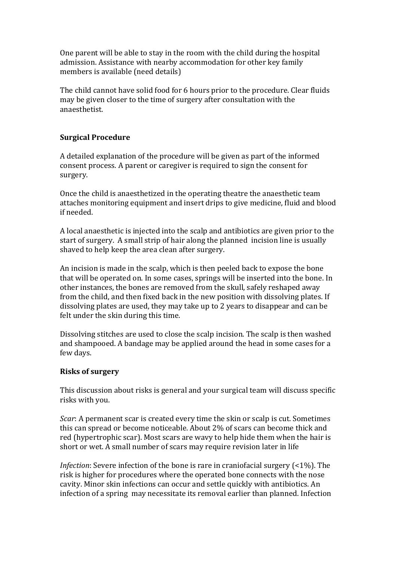One parent will be able to stay in the room with the child during the hospital admission. Assistance with nearby accommodation for other key family members is available (need details)

The child cannot have solid food for 6 hours prior to the procedure. Clear fluids may be given closer to the time of surgery after consultation with the anaesthetist.

## **Surgical Procedure**

A detailed explanation of the procedure will be given as part of the informed consent process. A parent or caregiver is required to sign the consent for surgery.

Once the child is anaesthetized in the operating theatre the anaesthetic team attaches monitoring equipment and insert drips to give medicine, fluid and blood if needed.

A local anaesthetic is injected into the scalp and antibiotics are given prior to the start of surgery. A small strip of hair along the planned incision line is usually shaved to help keep the area clean after surgery.

An incision is made in the scalp, which is then peeled back to expose the bone that will be operated on. In some cases, springs will be inserted into the bone. In other instances, the bones are removed from the skull, safely reshaped away from the child, and then fixed back in the new position with dissolving plates. If dissolving plates are used, they may take up to 2 years to disappear and can be felt under the skin during this time.

Dissolving stitches are used to close the scalp incision. The scalp is then washed and shampooed. A bandage may be applied around the head in some cases for a few days.

#### **Risks of surgery**

This discussion about risks is general and your surgical team will discuss specific risks with you.

*Scar*: A permanent scar is created every time the skin or scalp is cut. Sometimes this can spread or become noticeable. About 2% of scars can become thick and red (hypertrophic scar). Most scars are wavy to help hide them when the hair is short or wet. A small number of scars may require revision later in life

*Infection*: Severe infection of the bone is rare in craniofacial surgery  $(2\%)$ . The risk is higher for procedures where the operated bone connects with the nose cavity. Minor skin infections can occur and settle quickly with antibiotics. An infection of a spring may necessitate its removal earlier than planned. Infection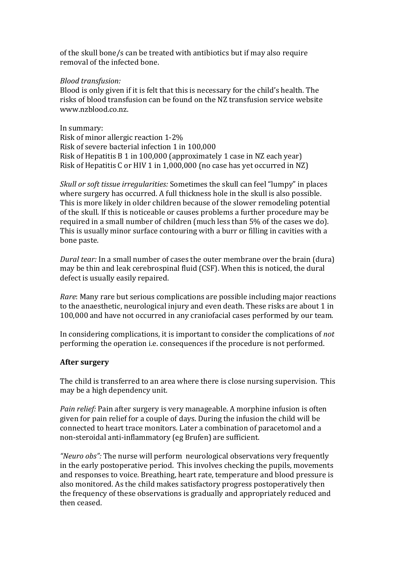of the skull bone/s can be treated with antibiotics but if may also require removal of the infected bone.

#### *Blood transfusion:*

Blood is only given if it is felt that this is necessary for the child's health. The risks of blood transfusion can be found on the NZ transfusion service website www.nzblood.co.nz

In summary: Risk of minor allergic reaction 1-2% Risk of severe bacterial infection 1 in 100,000 Risk of Hepatitis  $B_1$  in 100,000 (approximately 1 case in NZ each year) Risk of Hepatitis C or HIV 1 in 1,000,000 (no case has yet occurred in NZ)

*Skull or soft tissue irregularities: Sometimes the skull can feel "lumpy" in places* where surgery has occurred. A full thickness hole in the skull is also possible. This is more likely in older children because of the slower remodeling potential of the skull. If this is noticeable or causes problems a further procedure may be required in a small number of children (much less than 5% of the cases we do). This is usually minor surface contouring with a burr or filling in cavities with a bone paste.

*Dural tear:* In a small number of cases the outer membrane over the brain (dura) may be thin and leak cerebrospinal fluid (CSF). When this is noticed, the dural defect is usually easily repaired.

*Rare*: Many rare but serious complications are possible including major reactions to the anaesthetic, neurological injury and even death. These risks are about 1 in 100,000 and have not occurred in any craniofacial cases performed by our team.

In considering complications, it is important to consider the complications of *not* performing the operation i.e. consequences if the procedure is not performed.

#### **After surgery**

The child is transferred to an area where there is close nursing supervision. This may be a high dependency unit.

*Pain relief:* Pain after surgery is very manageable. A morphine infusion is often given for pain relief for a couple of days. During the infusion the child will be connected to heart trace monitors. Later a combination of paracetomol and a non-steroidal anti-inflammatory (eg Brufen) are sufficient.

*"Neuro obs":* The nurse will perform neurological observations very frequently in the early postoperative period. This involves checking the pupils, movements and responses to voice. Breathing, heart rate, temperature and blood pressure is also monitored. As the child makes satisfactory progress postoperatively then the frequency of these observations is gradually and appropriately reduced and then ceased.